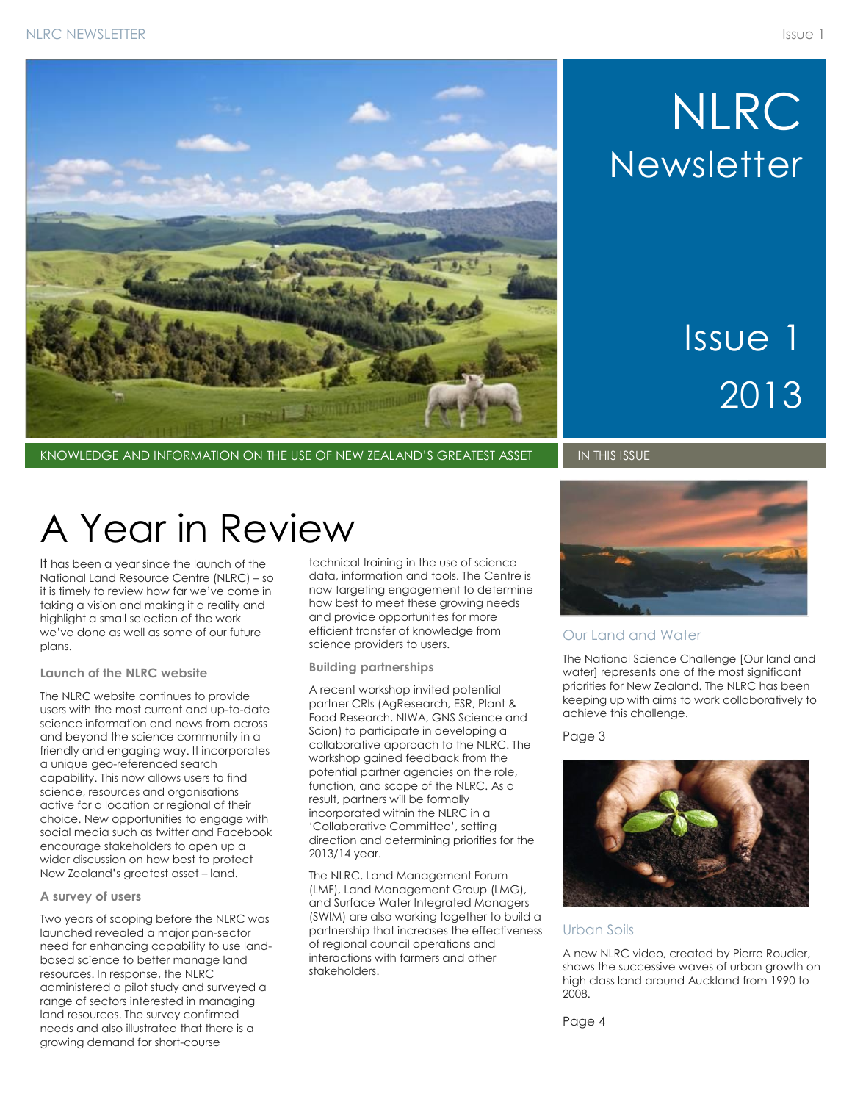

KNOWLEDGE AND INFORMATION ON THE USE OF NEW ZEALAND'S GREATEST ASSET **IN THIS ISSUE** 

# NLRC **Newsletter**

# Issue 1 2013

## A Year in Review

It has been a year since the launch of the National Land Resource Centre (NLRC) – so it is timely to review how far we've come in taking a vision and making it a reality and highlight a small selection of the work we've done as well as some of our future plans.

#### **Launch of the NLRC website**

The NLRC website continues to provide users with the most current and up-to-date science information and news from across and beyond the science community in a friendly and engaging way. It incorporates a unique geo-referenced search capability. This now allows users to find science, resources and organisations active for a location or regional of their choice. New opportunities to engage with social media such as twitter and Facebook encourage stakeholders to open up a wider discussion on how best to protect New Zealand's greatest asset – land.

#### **A survey of users**

Two years of scoping before the NLRC was launched revealed a major pan-sector need for enhancing capability to use landbased science to better manage land resources. In response, the NLRC administered a pilot study and surveyed a range of sectors interested in managing land resources. The survey confirmed needs and also illustrated that there is a growing demand for short-course

technical training in the use of science data, information and tools. The Centre is now targeting engagement to determine how best to meet these growing needs and provide opportunities for more efficient transfer of knowledge from science providers to users.

#### **Building partnerships**

A recent workshop invited potential partner CRIs (AgResearch, ESR, Plant & Food Research, NIWA, GNS Science and Scion) to participate in developing a collaborative approach to the NLRC. The workshop gained feedback from the potential partner agencies on the role, function, and scope of the NLRC. As a result, partners will be formally incorporated within the NLRC in a 'Collaborative Committee', setting direction and determining priorities for the 2013/14 year.

The NLRC, Land Management Forum (LMF), Land Management Group (LMG), and Surface Water Integrated Managers (SWIM) are also working together to build a partnership that increases the effectiveness of regional council operations and interactions with farmers and other stakeholders.



#### Our Land and Water

The National Science Challenge [Our land and water] represents one of the most significant priorities for New Zealand. The NLRC has been keeping up with aims to work collaboratively to achieve this challenge.

Page 3



### Urban Soils

A new NLRC video, created by Pierre Roudier, shows the successive waves of urban growth on high class land around Auckland from 1990 to 2008.

Page 4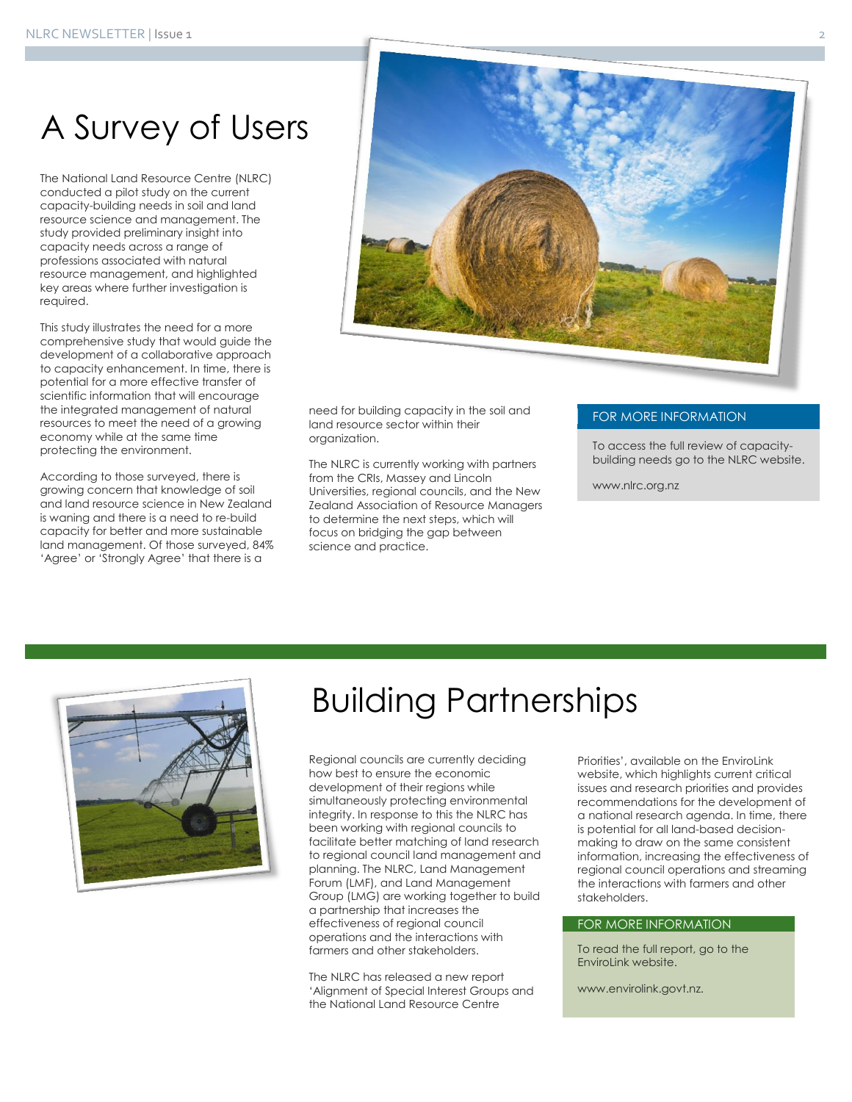### A Survey of Users

The National Land Resource Centre (NLRC) conducted a pilot study on the current capacity-building needs in soil and land resource science and management. The study provided preliminary insight into capacity needs across a range of professions associated with natural resource management, and highlighted key areas where further investigation is required.

This study illustrates the need for a more comprehensive study that would guide the development of a collaborative approach to capacity enhancement. In time, there is potential for a more effective transfer of scientific information that will encourage the integrated management of natural resources to meet the need of a growing economy while at the same time protecting the environment.

According to those surveyed, there is growing concern that knowledge of soil and land resource science in New Zealand is waning and there is a need to re-build capacity for better and more sustainable land management. Of those surveyed, 84% 'Agree' or 'Strongly Agree' that there is a



need for building capacity in the soil and land resource sector within their organization.

The NLRC is currently working with partners from the CRIs, Massey and Lincoln Universities, regional councils, and the New Zealand Association of Resource Managers to determine the next steps, which will focus on bridging the gap between science and practice.

#### FOR MORE INFORMATION

To access the full review of capacitybuilding needs go to the NLRC website.

www.nlrc.org.nz



### Building Partnerships

Regional councils are currently deciding how best to ensure the economic development of their regions while simultaneously protecting environmental integrity. In response to this the NLRC has been working with regional councils to facilitate better matching of land research to regional council land management and planning. The NLRC, Land Management Forum (LMF), and Land Management Group (LMG) are working together to build a partnership that increases the effectiveness of regional council operations and the interactions with farmers and other stakeholders.

The NLRC has released a new report 'Alignment of Special Interest Groups and the National Land Resource Centre

Priorities', available on the EnviroLink website, which highlights current critical issues and research priorities and provides recommendations for the development of a national research agenda. In time, there is potential for all land-based decisionmaking to draw on the same consistent information, increasing the effectiveness of regional council operations and streaming the interactions with farmers and other stakeholders.

#### FOR MORE INFORMATION

To read the full report, go to the EnviroLink website.

www.envirolink.govt.nz.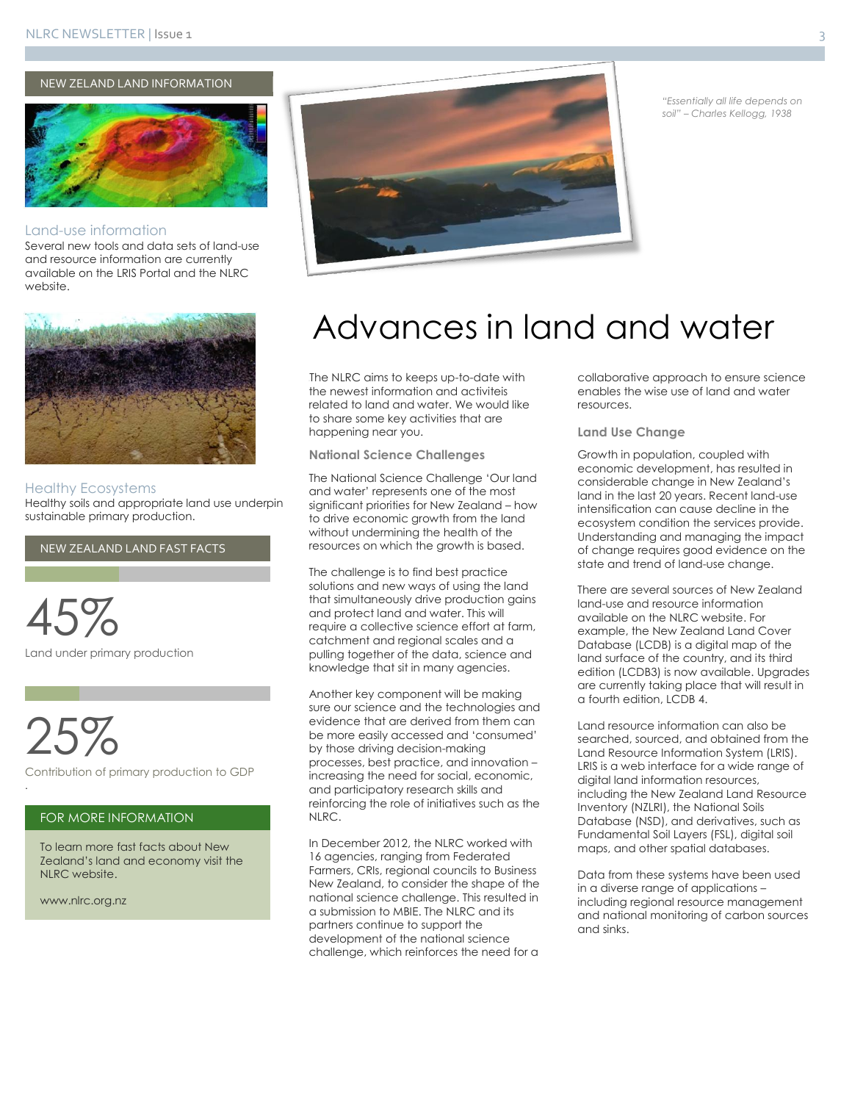NEW ZELAND LAND INFORMATION



#### Land-use information

Several new tools and data sets of land-use and resource information are currently available on the LRIS Portal and the NLRC website.



#### Healthy Ecosystems

Healthy soils and appropriate land use underpin sustainable primary production.

NEW ZEALAND LAND FAST FACTS



25%

.

Contribution of primary production to GDP

#### FOR MORE INFORMATION

To learn more fast facts about New Zealand's land and economy visit the NLRC website.

www.nlrc.org.nz



*"Essentially all life depends on soil" – Charles Kellogg, 1938*

### Advances in land and water

The NLRC aims to keeps up-to-date with the newest information and activiteis related to land and water. We would like to share some key activities that are happening near you.

**National Science Challenges**

The National Science Challenge 'Our land and water' represents one of the most significant priorities for New Zealand – how to drive economic growth from the land without undermining the health of the resources on which the growth is based.

The challenge is to find best practice solutions and new ways of using the land that simultaneously drive production gains and protect land and water. This will require a collective science effort at farm, catchment and regional scales and a pulling together of the data, science and knowledge that sit in many agencies.

Another key component will be making sure our science and the technologies and evidence that are derived from them can be more easily accessed and 'consumed' by those driving decision-making processes, best practice, and innovation – increasing the need for social, economic, and participatory research skills and reinforcing the role of initiatives such as the NLRC.

In December 2012, the NLRC worked with 16 agencies, ranging from Federated Farmers, CRIs, regional councils to Business New Zealand, to consider the shape of the national science challenge. This resulted in a submission to MBIE. The NLRC and its partners continue to support the development of the national science challenge, which reinforces the need for a

collaborative approach to ensure science enables the wise use of land and water resources.

#### **Land Use Change**

Growth in population, coupled with economic development, has resulted in considerable change in New Zealand's land in the last 20 years. Recent land-use intensification can cause decline in the ecosystem condition the services provide. Understanding and managing the impact of change requires good evidence on the state and trend of land-use change.

There are several sources of New Zealand land-use and resource information available on the NLRC website. For example, the New Zealand Land Cover Database (LCDB) is a digital map of the land surface of the country, and its third edition (LCDB3) is now available. Upgrades are currently taking place that will result in a fourth edition, LCDB 4.

Land resource information can also be searched, sourced, and obtained from the Land Resource Information System (LRIS). LRIS is a web interface for a wide range of digital land information resources, including the New Zealand Land Resource Inventory (NZLRI), the National Soils Database (NSD), and derivatives, such as Fundamental Soil Layers (FSL), digital soil maps, and other spatial databases.

Data from these systems have been used in a diverse range of applications – including regional resource management and national monitoring of carbon sources and sinks.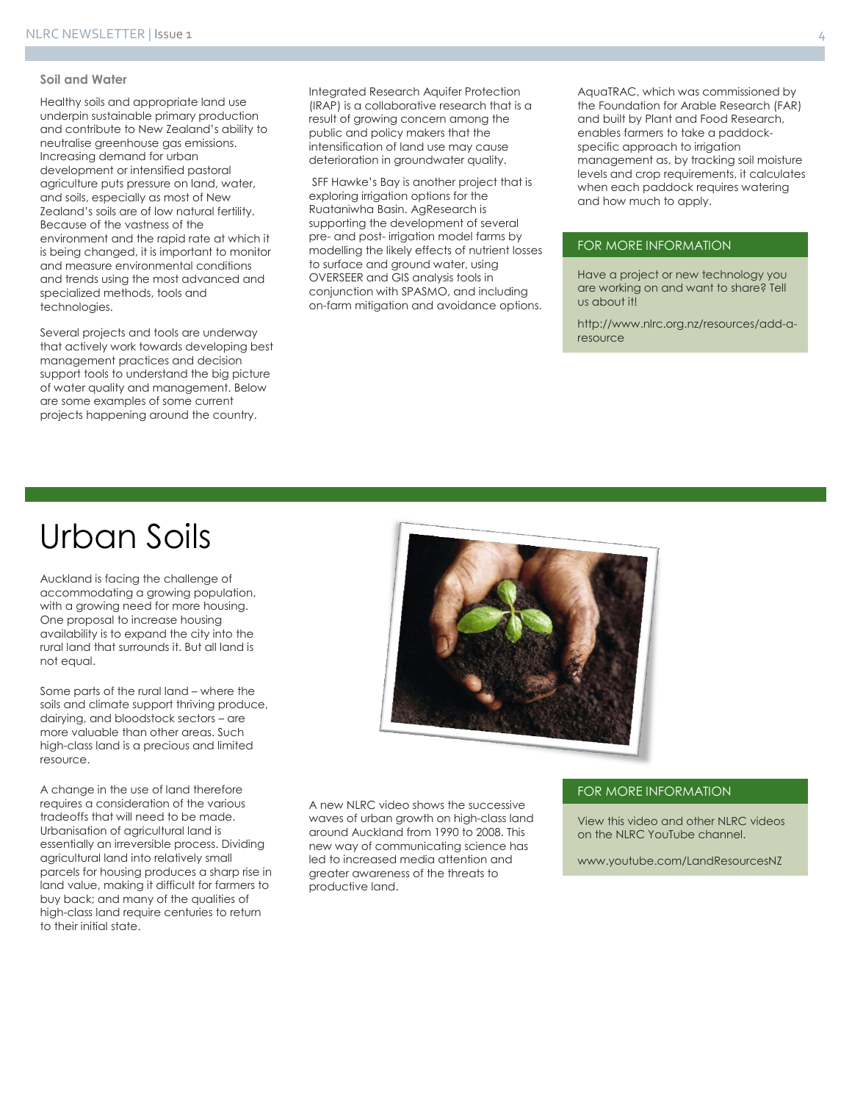#### **Soil and Water**

Healthy soils and appropriate land use underpin sustainable primary production and contribute to New Zealand's ability to neutralise greenhouse gas emissions. Increasing demand for urban development or intensified pastoral agriculture puts pressure on land, water, and soils, especially as most of New Zealand's soils are of low natural fertility. Because of the vastness of the environment and the rapid rate at which it is being changed, it is important to monitor and measure environmental conditions and trends using the most advanced and specialized methods, tools and technologies.

Several projects and tools are underway that actively work towards developing best management practices and decision support tools to understand the big picture of water quality and management. Below are some examples of some current projects happening around the country.

Integrated Research Aquifer Protection (IRAP) is a collaborative research that is a result of growing concern among the public and policy makers that the intensification of land use may cause deterioration in groundwater quality.

SFF Hawke's Bay is another project that is exploring irrigation options for the Ruataniwha Basin. AgResearch is supporting the development of several pre- and post- irrigation model farms by modelling the likely effects of nutrient losses to surface and ground water, using OVERSEER and GIS analysis tools in conjunction with SPASMO, and including on-farm mitigation and avoidance options.

AquaTRAC, which was commissioned by the Foundation for Arable Research (FAR) and built by Plant and Food Research, enables farmers to take a paddockspecific approach to irrigation management as, by tracking soil moisture levels and crop requirements, it calculates when each paddock requires watering and how much to apply.

#### FOR MORE INFORMATION

Have a project or new technology you are working on and want to share? Tell us about it!

http://www.nlrc.org.nz/resources/add-aresource

### Urban Soils

Auckland is facing the challenge of accommodating a growing population, with a growing need for more housing. One proposal to increase housing availability is to expand the city into the rural land that surrounds it. But all land is not equal.

Some parts of the rural land – where the soils and climate support thriving produce, dairying, and bloodstock sectors – are more valuable than other areas. Such high-class land is a precious and limited resource.

A change in the use of land therefore requires a consideration of the various tradeoffs that will need to be made. Urbanisation of agricultural land is essentially an irreversible process. Dividing agricultural land into relatively small parcels for housing produces a sharp rise in land value, making it difficult for farmers to buy back; and many of the qualities of high-class land require centuries to return to their initial state.



A new NLRC video shows the successive waves of urban growth on high-class land around Auckland from 1990 to 2008. This new way of communicating science has led to increased media attention and greater awareness of the threats to productive land.

#### FOR MORE INFORMATION

View this video and other NLRC videos on the NLRC YouTube channel.

www.youtube.com/LandResourcesNZ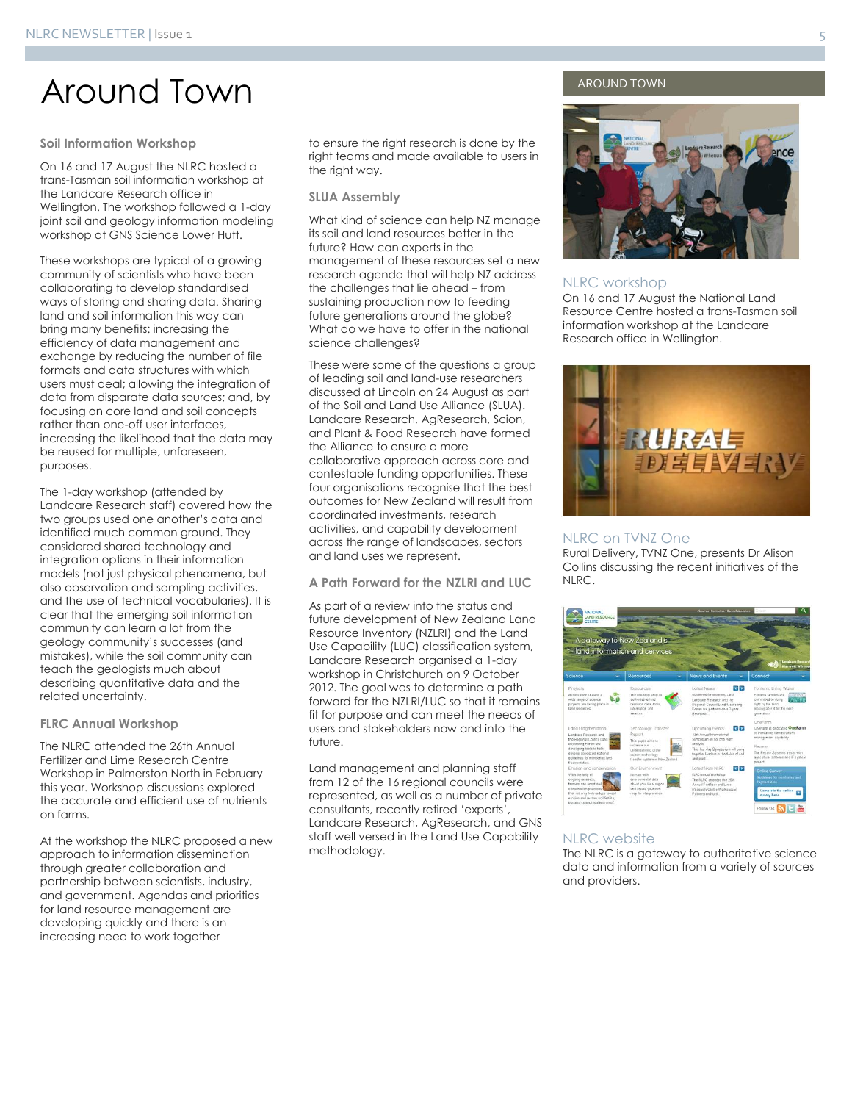### Around Town

#### **Soil Information Workshop**

On 16 and 17 August the NLRC hosted a trans-Tasman soil information workshop at the Landcare Research office in Wellington. The workshop followed a 1-day joint soil and geology information modeling workshop at GNS Science Lower Hutt.

These workshops are typical of a growing community of scientists who have been collaborating to develop standardised ways of storing and sharing data. Sharing land and soil information this way can bring many benefits: increasing the efficiency of data management and exchange by reducing the number of file formats and data structures with which users must deal; allowing the integration of data from disparate data sources; and, by focusing on core land and soil concepts rather than one-off user interfaces, increasing the likelihood that the data may be reused for multiple, unforeseen, purposes.

The 1-day workshop (attended by Landcare Research staff) covered how the two groups used one another's data and identified much common ground. They considered shared technology and integration options in their information models (not just physical phenomena, but also observation and sampling activities, and the use of technical vocabularies). It is clear that the emerging soil information community can learn a lot from the geology community's successes (and mistakes), while the soil community can teach the geologists much about describing quantitative data and the related uncertainty.

#### **FLRC Annual Workshop**

The NLRC attended the 26th Annual Fertilizer and Lime Research Centre Workshop in Palmerston North in February this year. Workshop discussions explored the accurate and efficient use of nutrients on farms.

At the workshop the NLRC proposed a new approach to information dissemination through greater collaboration and partnership between scientists, industry, and government. Agendas and priorities for land resource management are developing quickly and there is an increasing need to work together

to ensure the right research is done by the right teams and made available to users in the right way.

#### **SLUA Assembly**

What kind of science can help NZ manage its soil and land resources better in the future? How can experts in the management of these resources set a new research agenda that will help NZ address the challenges that lie ahead – from sustaining production now to feeding future generations around the globe? What do we have to offer in the national science challenges?

These were some of the questions a group of leading soil and land-use researchers discussed at Lincoln on 24 August as part of the Soil and Land Use Alliance (SLUA). Landcare Research, AgResearch, Scion, and Plant & Food Research have formed the Alliance to ensure a more collaborative approach across core and contestable funding opportunities. These four organisations recognise that the best outcomes for New Zealand will result from coordinated investments, research activities, and capability development across the range of landscapes, sectors and land uses we represent.

#### **A Path Forward for the NZLRI and LUC**

As part of a review into the status and future development of New Zealand Land Resource Inventory (NZLRI) and the Land Use Capability (LUC) classification system, Landcare Research organised a 1-day workshop in Christchurch on 9 October 2012. The goal was to determine a path forward for the NZLRI/LUC so that it remains fit for purpose and can meet the needs of users and stakeholders now and into the future.

Land management and planning staff from 12 of the 16 regional councils were represented, as well as a number of private consultants, recently retired 'experts', Landcare Research, AgResearch, and GNS staff well versed in the Land Use Capability methodology.

#### AROUND TOWN



#### NLRC workshop

On 16 and 17 August the National Land Resource Centre hosted a trans-Tasman soil information workshop at the Landcare Research office in Wellington.



#### NLRC on TVNZ One

Rural Delivery, TVNZ One, presents Dr Alison Collins discussing the recent initiatives of the NLRC.



#### NLRC website

The NLRC is a gateway to authoritative science data and information from a variety of sources and providers.